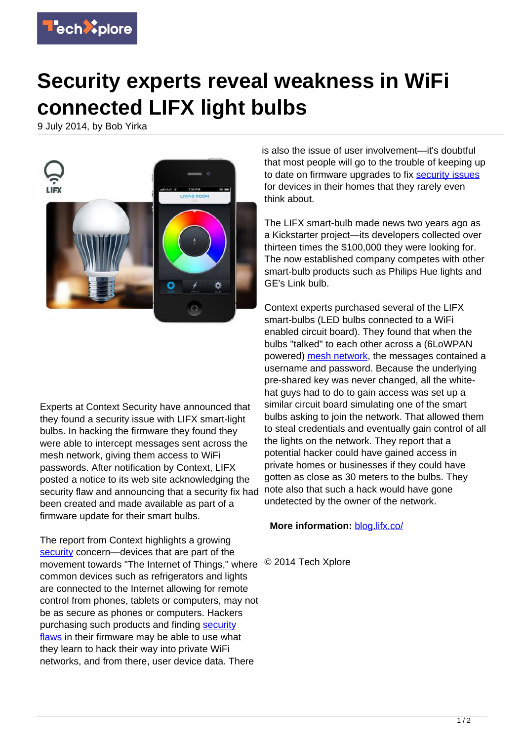

## **Security experts reveal weakness in WiFi connected LIFX light bulbs**

9 July 2014, by Bob Yirka



Experts at Context Security have announced that they found a security issue with LIFX smart-light bulbs. In hacking the firmware they found they were able to intercept messages sent across the mesh network, giving them access to WiFi passwords. After notification by Context, LIFX posted a notice to its web site acknowledging the security flaw and announcing that a security fix had been created and made available as part of a firmware update for their smart bulbs.

The report from Context highlights a growing [security](https://techxplore.com/tags/security/) concern—devices that are part of the movement towards "The Internet of Things," where © 2014 Tech Xplore common devices such as refrigerators and lights are connected to the Internet allowing for remote control from phones, tablets or computers, may not be as secure as phones or computers. Hackers purchasing such products and finding [security](https://techxplore.com/tags/security+flaws/) [flaws](https://techxplore.com/tags/security+flaws/) in their firmware may be able to use what they learn to hack their way into private WiFi networks, and from there, user device data. There

is also the issue of user involvement—it's doubtful that most people will go to the trouble of keeping up to date on firmware upgrades to fix [security issues](https://techxplore.com/tags/security+issues/) for devices in their homes that they rarely even think about.

The LIFX smart-bulb made news two years ago as a Kickstarter project—its developers collected over thirteen times the \$100,000 they were looking for. The now established company competes with other smart-bulb products such as Philips Hue lights and GE's Link bulb.

Context experts purchased several of the LIFX smart-bulbs (LED bulbs connected to a WiFi enabled circuit board). They found that when the bulbs "talked" to each other across a (6LoWPAN powered) [mesh network,](https://techxplore.com/tags/mesh+network/) the messages contained a username and password. Because the underlying pre-shared key was never changed, all the whitehat guys had to do to gain access was set up a similar circuit board simulating one of the smart bulbs asking to join the network. That allowed them to steal credentials and eventually gain control of all the lights on the network. They report that a potential hacker could have gained access in private homes or businesses if they could have gotten as close as 30 meters to the bulbs. They note also that such a hack would have gone undetected by the owner of the network.

## **More information:** [blog.lifx.co/](http://blog.lifx.co/)